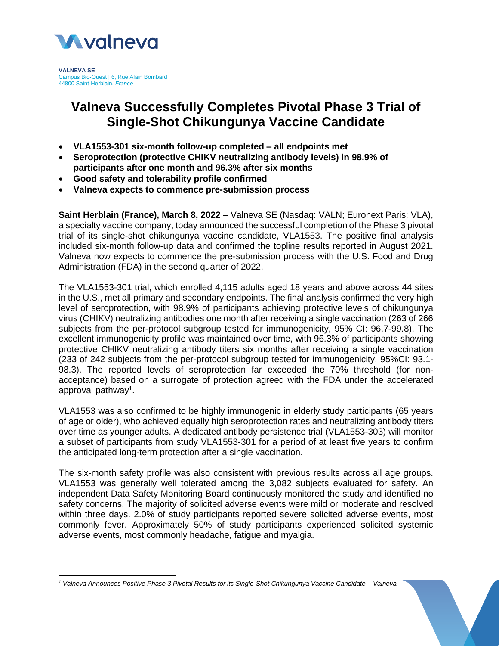

**VALNEVA SE** Campus Bio-Ouest | 6, Rue Alain Bombard 44800 Saint-Herblain, *France*

# **Valneva Successfully Completes Pivotal Phase 3 Trial of Single-Shot Chikungunya Vaccine Candidate**

- **VLA1553-301 six-month follow-up completed – all endpoints met**
- **Seroprotection (protective CHIKV neutralizing antibody levels) in 98.9% of participants after one month and 96.3% after six months**
- **Good safety and tolerability profile confirmed**
- **Valneva expects to commence pre-submission process**

**Saint Herblain (France), March 8, 2022** – Valneva SE (Nasdaq: VALN; Euronext Paris: VLA), a specialty vaccine company, today announced the successful completion of the Phase 3 pivotal trial of its single-shot chikungunya vaccine candidate, VLA1553. The positive final analysis included six-month follow-up data and confirmed the topline results reported in August 2021. Valneva now expects to commence the pre-submission process with the U.S. Food and Drug Administration (FDA) in the second quarter of 2022.

The VLA1553-301 trial, which enrolled 4,115 adults aged 18 years and above across 44 sites in the U.S., met all primary and secondary endpoints. The final analysis confirmed the very high level of seroprotection, with 98.9% of participants achieving protective levels of chikungunya virus (CHIKV) neutralizing antibodies one month after receiving a single vaccination (263 of 266 subjects from the per-protocol subgroup tested for immunogenicity, 95% CI: 96.7-99.8). The excellent immunogenicity profile was maintained over time, with 96.3% of participants showing protective CHIKV neutralizing antibody titers six months after receiving a single vaccination (233 of 242 subjects from the per-protocol subgroup tested for immunogenicity, 95%CI: 93.1- 98.3). The reported levels of seroprotection far exceeded the 70% threshold (for nonacceptance) based on a surrogate of protection agreed with the FDA under the accelerated approval pathway<sup>1</sup>.

VLA1553 was also confirmed to be highly immunogenic in elderly study participants (65 years of age or older), who achieved equally high seroprotection rates and neutralizing antibody titers over time as younger adults. A dedicated antibody persistence trial (VLA1553-303) will monitor a subset of participants from study VLA1553-301 for a period of at least five years to confirm the anticipated long-term protection after a single vaccination.

The six-month safety profile was also consistent with previous results across all age groups. VLA1553 was generally well tolerated among the 3,082 subjects evaluated for safety. An independent Data Safety Monitoring Board continuously monitored the study and identified no safety concerns. The majority of solicited adverse events were mild or moderate and resolved within three days. 2.0% of study participants reported severe solicited adverse events, most commonly fever. Approximately 50% of study participants experienced solicited systemic adverse events, most commonly headache, fatigue and myalgia.

*<sup>1</sup> [Valneva Announces Positive Phase 3 Pivotal Results for its Single-Shot Chikungunya Vaccine Candidate –](https://valneva.com/press-release/valneva-announces-positive-phase-3-pivotal-results-for-its-single-shot-chikungunya-vaccine-candidate/) Valneva*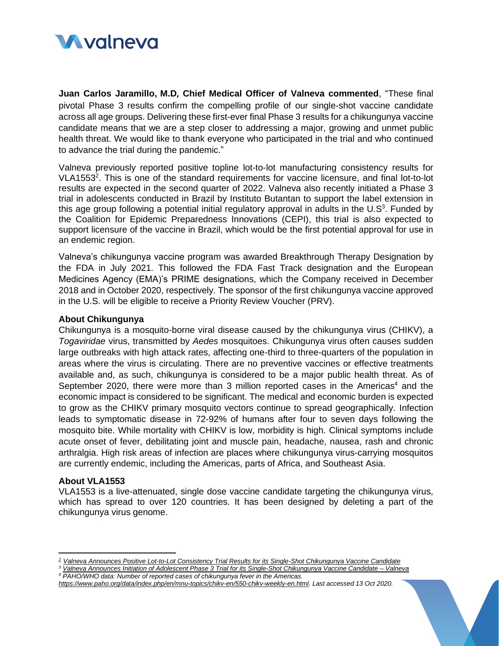

**Juan Carlos Jaramillo, M.D, Chief Medical Officer of Valneva commented**, "These final pivotal Phase 3 results confirm the compelling profile of our single-shot vaccine candidate across all age groups. Delivering these first-ever final Phase 3 results for a chikungunya vaccine candidate means that we are a step closer to addressing a major, growing and unmet public health threat. We would like to thank everyone who participated in the trial and who continued to advance the trial during the pandemic."

Valneva previously reported positive topline lot-to-lot manufacturing consistency results for VLA1553<sup>2</sup>. This is one of the standard requirements for vaccine licensure, and final lot-to-lot results are expected in the second quarter of 2022. Valneva also recently initiated a Phase 3 trial in adolescents conducted in Brazil by Instituto Butantan to support the label extension in this age group following a potential initial regulatory approval in adults in the  $U.S^3$ . Funded by the Coalition for Epidemic Preparedness Innovations (CEPI), this trial is also expected to support licensure of the vaccine in Brazil, which would be the first potential approval for use in an endemic region.

Valneva's chikungunya vaccine program was awarded Breakthrough Therapy Designation by the FDA in July 2021. This followed the FDA Fast Track designation and the European Medicines Agency (EMA)'s PRIME designations, which the Company received in December 2018 and in October 2020, respectively. The sponsor of the first chikungunya vaccine approved in the U.S. will be eligible to receive a Priority Review Voucher (PRV).

## **About Chikungunya**

Chikungunya is a mosquito-borne viral disease caused by the chikungunya virus (CHIKV), a *Togaviridae* virus, transmitted by *Aedes* mosquitoes. Chikungunya virus often causes sudden large outbreaks with high attack rates, affecting one-third to three-quarters of the population in areas where the virus is circulating. There are no preventive vaccines or effective treatments available and, as such, chikungunya is considered to be a major public health threat. As of September 2020, there were more than 3 million reported cases in the Americas<sup>4</sup> and the economic impact is considered to be significant. The medical and economic burden is expected to grow as the CHIKV primary mosquito vectors continue to spread geographically. Infection leads to symptomatic disease in 72-92% of humans after four to seven days following the mosquito bite. While mortality with CHIKV is low, morbidity is high. Clinical symptoms include acute onset of fever, debilitating joint and muscle pain, headache, nausea, rash and chronic arthralgia. High risk areas of infection are places where chikungunya virus-carrying mosquitos are currently endemic, including the Americas, parts of Africa, and Southeast Asia.

#### **About VLA1553**

VLA1553 is a live-attenuated, single dose vaccine candidate targeting the chikungunya virus, which has spread to over 120 countries. It has been designed by deleting a part of the chikungunya virus genome.

*<sup>2</sup> [Valneva Announces Positive Lot-to-Lot Consistency Trial Results for its Single-Shot Chikungunya Vaccine Candidate](https://valneva.com/press-release/valneva-announces-positive-lot-to-lot-consistency-trial-results-for-its-single-shot-chikungunya-vaccine-candidate/?lang=fr)*

*<sup>3</sup> [Valneva Announces Initiation of Adolescent Phase 3 Trial for its Single-Shot Chikungunya Vaccine Candidate –](https://valneva.com/press-release/valneva-announces-initiation-of-adolescent-phase-3-trial-for-its-single-shot-chikungunya-vaccine-candidate/) Valneva <sup>4</sup> PAHO/WHO data: Number of reported cases of chikungunya fever in the Americas.* 

*[https://www.paho.org/data/index.php/en/mnu-topics/chikv-en/550-chikv-weekly-en.html.](https://www.paho.org/data/index.php/en/mnu-topics/chikv-en/550-chikv-weekly-en.html) Last accessed 13 Oct 2020.*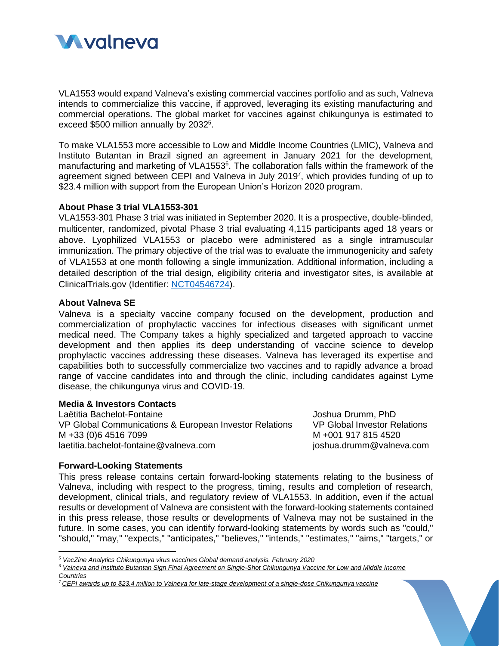

VLA1553 would expand Valneva's existing commercial vaccines portfolio and as such, Valneva intends to commercialize this vaccine, if approved, leveraging its existing manufacturing and commercial operations. The global market for vaccines against chikungunya is estimated to exceed \$500 million annually by 2032<sup>5</sup>.

To make VLA1553 more accessible to Low and Middle Income Countries (LMIC), Valneva and Instituto Butantan in Brazil signed an agreement in January 2021 for the development, manufacturing and marketing of VLA1553<sup>6</sup>. The collaboration falls within the framework of the agreement signed between CEPI and Valneva in July 2019<sup>7</sup> , which provides funding of up to \$23.4 million with support from the European Union's Horizon 2020 program.

#### **About Phase 3 trial VLA1553-301**

VLA1553-301 Phase 3 trial was initiated in September 2020. It is a prospective, double-blinded, multicenter, randomized, pivotal Phase 3 trial evaluating 4,115 participants aged 18 years or above. Lyophilized VLA1553 or placebo were administered as a single intramuscular immunization. The primary objective of the trial was to evaluate the immunogenicity and safety of VLA1553 at one month following a single immunization. Additional information, including a detailed description of the trial design, eligibility criteria and investigator sites, is available at ClinicalTrials.gov (Identifier: [NCT04546724\)](https://clinicaltrials.gov/ct2/show/NCT04546724?term=NCT04546724&draw=2&rank=1).

## **About Valneva SE**

Valneva is a specialty vaccine company focused on the development, production and commercialization of prophylactic vaccines for infectious diseases with significant unmet medical need. The Company takes a highly specialized and targeted approach to vaccine development and then applies its deep understanding of vaccine science to develop prophylactic vaccines addressing these diseases. Valneva has leveraged its expertise and capabilities both to successfully commercialize two vaccines and to rapidly advance a broad range of vaccine candidates into and through the clinic, including candidates against Lyme disease, the chikungunya virus and COVID-19.

# **Media & Investors Contacts**

Laëtitia Bachelot-Fontaine VP Global Communications & European Investor Relations M +33 (0)6 4516 7099 laetitia.bachelot-fontaine@valneva.com

Joshua Drumm, PhD VP Global Investor Relations M +001 917 815 4520 joshua.drumm@valneva.com

#### **Forward-Looking Statements**

This press release contains certain forward-looking statements relating to the business of Valneva, including with respect to the progress, timing, results and completion of research, development, clinical trials, and regulatory review of VLA1553. In addition, even if the actual results or development of Valneva are consistent with the forward-looking statements contained in this press release, those results or developments of Valneva may not be sustained in the future. In some cases, you can identify forward-looking statements by words such as "could," "should," "may," "expects," "anticipates," "believes," "intends," "estimates," "aims," "targets," or

*<sup>5</sup> VacZine Analytics Chikungunya virus vaccines Global demand analysis. February 2020*

*<sup>6</sup> [Valneva and Instituto Butantan Sign Final Agreement on Single-Shot Chikungunya Vaccine for Low and Middle Income](https://valneva.com/press-release/valneva-and-instituto-butantan-sign-final-agreement-on-single-shot-chikungunya-vaccine-for-low-and-middle-income-countries/)  [Countries](https://valneva.com/press-release/valneva-and-instituto-butantan-sign-final-agreement-on-single-shot-chikungunya-vaccine-for-low-and-middle-income-countries/)*

*<sup>7</sup> [CEPI awards up to \\$23.4 million to Valneva for late-stage development of a single-dose Chikungunya vaccine](https://valneva.com/press-release/cepi-awards-up-to-us23-4-million-to-valneva-for-late-stage-development-of-a-single-dose-chikungunya-vaccine/)*